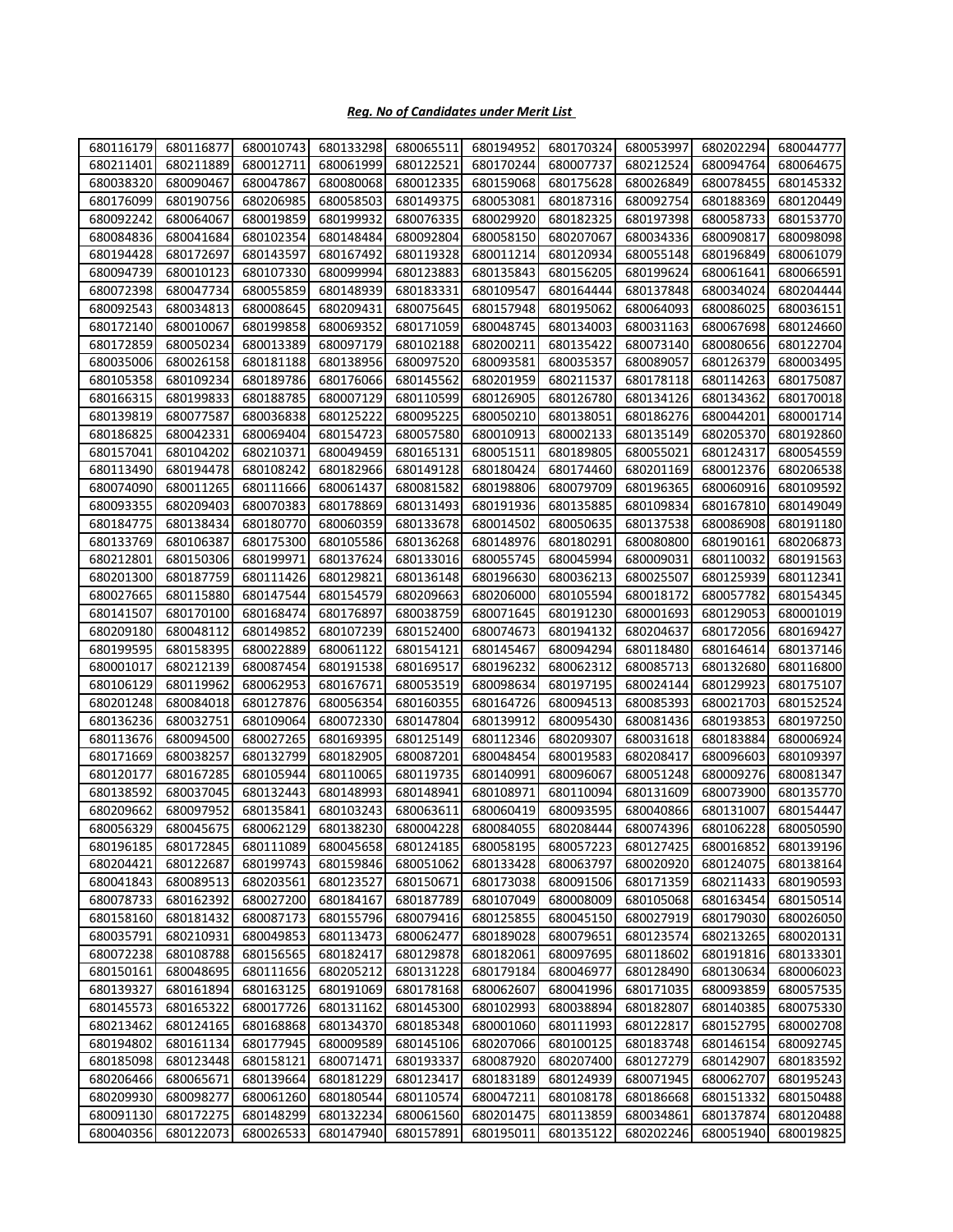## *Reg. No of Candidates under Merit List*

| 680116179 | 680116877 | 680010743 | 680133298 | 680065511           | 680194952 | 680170324 | 680053997 | 680202294 | 680044777 |
|-----------|-----------|-----------|-----------|---------------------|-----------|-----------|-----------|-----------|-----------|
| 680211401 | 680211889 | 680012711 | 680061999 | 680122521           | 680170244 | 680007737 | 680212524 | 680094764 | 680064675 |
| 680038320 | 680090467 | 680047867 | 680080068 | 680012335           | 680159068 | 680175628 | 680026849 | 680078455 | 680145332 |
| 680176099 | 680190756 | 680206985 | 680058503 | 680149375           | 680053081 | 680187316 | 680092754 | 680188369 | 680120449 |
| 680092242 | 680064067 | 680019859 | 680199932 | 680076335           | 680029920 | 680182325 | 680197398 | 680058733 | 680153770 |
| 680084836 | 680041684 | 680102354 | 680148484 | 680092804           | 680058150 | 680207067 | 680034336 | 680090817 | 680098098 |
| 680194428 | 680172697 | 680143597 | 680167492 | 680119328           | 680011214 | 680120934 | 680055148 | 680196849 | 680061079 |
| 680094739 | 680010123 | 680107330 | 680099994 | 680123883           | 680135843 | 680156205 | 680199624 | 680061641 | 680066591 |
| 680072398 | 680047734 | 680055859 | 680148939 | 680183331           | 680109547 | 680164444 | 680137848 | 680034024 | 680204444 |
| 680092543 | 680034813 | 680008645 | 680209431 | 680075645           | 680157948 | 680195062 | 680064093 | 680086025 | 680036151 |
| 680172140 | 680010067 | 680199858 | 680069352 | 680171059           | 680048745 | 680134003 | 680031163 | 680067698 | 680124660 |
| 680172859 | 680050234 | 680013389 | 680097179 | 680102188           | 680200211 | 680135422 | 680073140 | 680080656 | 680122704 |
| 680035006 | 680026158 | 680181188 | 680138956 | 680097520           | 680093581 | 680035357 | 680089057 | 680126379 | 680003495 |
| 680105358 | 680109234 | 680189786 | 680176066 | 680145562           | 680201959 | 680211537 | 680178118 | 680114263 | 680175087 |
| 680166315 | 680199833 | 680188785 | 680007129 | 680110599           | 680126905 | 680126780 | 680134126 | 680134362 | 680170018 |
| 680139819 | 680077587 | 680036838 | 680125222 | 680095225           | 680050210 | 680138051 | 680186276 | 680044201 | 680001714 |
| 680186825 | 680042331 | 680069404 | 680154723 | 680057580           | 680010913 | 680002133 | 680135149 | 680205370 | 680192860 |
| 680157041 | 680104202 | 680210371 | 680049459 | 680165131           | 680051511 | 680189805 | 680055021 | 680124317 | 680054559 |
| 680113490 | 680194478 | 680108242 | 680182966 | 680149128           | 680180424 | 680174460 | 680201169 | 680012376 | 680206538 |
| 680074090 | 680011265 | 680111666 | 680061437 | 680081582           | 680198806 | 680079709 | 680196365 | 680060916 | 680109592 |
| 680093355 | 680209403 | 680070383 | 680178869 | 680131493           | 680191936 | 680135885 | 680109834 | 680167810 | 680149049 |
| 680184775 | 680138434 | 680180770 | 680060359 | 680133678           | 680014502 | 680050635 | 680137538 | 680086908 | 680191180 |
| 680133769 | 680106387 | 680175300 | 680105586 | 680136268           | 680148976 | 680180291 | 680080800 | 680190161 | 680206873 |
| 680212801 | 680150306 | 680199971 | 680137624 | 680133016           | 680055745 | 680045994 | 680009031 | 680110032 | 680191563 |
| 680201300 | 680187759 | 680111426 | 680129821 | 680136148           | 680196630 | 680036213 | 680025507 | 680125939 | 680112341 |
| 680027665 | 680115880 | 680147544 | 680154579 | 680209663           | 680206000 | 680105594 | 680018172 | 680057782 | 680154345 |
| 680141507 | 680170100 | 680168474 | 680176897 | 680038759           | 680071645 | 680191230 | 680001693 | 680129053 | 680001019 |
| 680209180 | 680048112 | 680149852 | 680107239 | 680152400           | 680074673 | 680194132 | 680204637 | 680172056 | 680169427 |
| 680199595 | 680158395 | 680022889 | 680061122 | 680154121           | 680145467 | 680094294 | 680118480 | 680164614 | 680137146 |
| 680001017 | 680212139 | 680087454 | 680191538 | 680169517           | 680196232 | 680062312 | 680085713 | 680132680 | 680116800 |
| 680106129 | 680119962 | 680062953 | 680167671 | 680053519           | 680098634 | 680197195 | 680024144 | 680129923 | 680175107 |
| 680201248 | 680084018 | 680127876 | 680056354 | 680160355           | 680164726 | 680094513 | 680085393 | 680021703 | 680152524 |
| 680136236 | 680032751 | 680109064 | 680072330 | 680147804           | 680139912 | 680095430 | 680081436 | 680193853 | 680197250 |
| 680113676 | 680094500 | 680027265 | 680169395 | 680125149           | 680112346 | 680209307 | 680031618 | 680183884 | 680006924 |
| 680171669 | 680038257 | 680132799 | 680182905 | 680087201           | 680048454 | 680019583 | 680208417 | 680096603 | 680109397 |
| 680120177 | 680167285 | 680105944 | 680110065 | 680119735           | 680140991 | 680096067 | 680051248 | 680009276 | 680081347 |
| 680138592 | 680037045 | 680132443 | 680148993 | 680148941           | 680108971 | 680110094 | 680131609 | 680073900 | 680135770 |
| 680209662 | 680097952 | 680135841 | 680103243 | 680063611           | 680060419 | 680093595 | 680040866 | 680131007 | 680154447 |
| 680056329 | 680045675 | 680062129 |           | 680138230 680004228 | 680084055 | 680208444 | 680074396 | 680106228 | 680050590 |
| 680196185 | 680172845 | 680111089 | 680045658 | 680124185           | 680058195 | 680057223 | 680127425 | 680016852 | 680139196 |
| 680204421 | 680122687 | 680199743 | 680159846 | 680051062           | 680133428 | 680063797 | 680020920 | 680124075 | 680138164 |
| 680041843 | 680089513 | 680203561 | 680123527 | 680150671           | 680173038 | 680091506 | 680171359 | 680211433 | 680190593 |
| 680078733 | 680162392 | 680027200 | 680184167 | 680187789           | 680107049 | 680008009 | 680105068 | 680163454 | 680150514 |
| 680158160 | 680181432 | 680087173 | 680155796 | 680079416           | 680125855 | 680045150 | 680027919 | 680179030 | 680026050 |
| 680035791 | 680210931 | 680049853 | 680113473 | 680062477           | 680189028 | 680079651 | 680123574 | 680213265 | 680020131 |
| 680072238 | 680108788 | 680156565 | 680182417 | 680129878           | 680182061 | 680097695 | 680118602 | 680191816 | 680133301 |
| 680150161 | 680048695 | 680111656 | 680205212 | 680131228           | 680179184 | 680046977 | 680128490 | 680130634 | 680006023 |
| 680139327 | 680161894 | 680163125 | 680191069 | 680178168           | 680062607 | 680041996 | 680171035 | 680093859 | 680057535 |
| 680145573 | 680165322 | 680017726 | 680131162 | 680145300           | 680102993 | 680038894 | 680182807 | 680140385 | 680075330 |
| 680213462 | 680124165 | 680168868 | 680134370 | 680185348           | 680001060 | 680111993 | 680122817 | 680152795 | 680002708 |
| 680194802 | 680161134 | 680177945 | 680009589 | 680145106           | 680207066 | 680100125 | 680183748 | 680146154 | 680092745 |
| 680185098 | 680123448 | 680158121 | 680071471 | 680193337           | 680087920 | 680207400 | 680127279 | 680142907 | 680183592 |
| 680206466 | 680065671 | 680139664 | 680181229 | 680123417           | 680183189 | 680124939 | 680071945 | 680062707 | 680195243 |
| 680209930 | 680098277 | 680061260 | 680180544 | 680110574           | 680047211 | 680108178 | 680186668 | 680151332 | 680150488 |
| 680091130 | 680172275 | 680148299 | 680132234 | 680061560           | 680201475 | 680113859 | 680034861 | 680137874 | 680120488 |
| 680040356 | 680122073 | 680026533 | 680147940 | 680157891           | 680195011 | 680135122 | 680202246 | 680051940 | 680019825 |